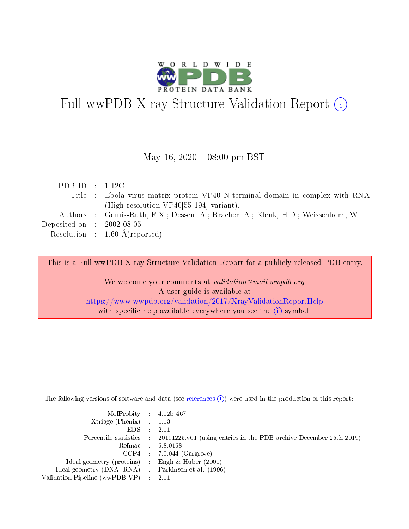

# Full wwPDB X-ray Structure Validation Report (i)

#### May 16,  $2020 - 08:00 \text{ pm} \text{ BST}$

|  | PDBID : 1H2C                                                                      |
|--|-----------------------------------------------------------------------------------|
|  | Title : Ebola virus matrix protein VP40 N-terminal domain in complex with RNA     |
|  | (High-resolution $VP40[55-194]$ variant).                                         |
|  | Authors : Gomis-Ruth, F.X.; Dessen, A.; Bracher, A.; Klenk, H.D.; Weissenhorn, W. |
|  | Deposited on $\therefore$ 2002-08-05                                              |
|  | Resolution : $1.60 \text{ Å}$ (reported)                                          |

This is a Full wwPDB X-ray Structure Validation Report for a publicly released PDB entry.

We welcome your comments at validation@mail.wwpdb.org A user guide is available at <https://www.wwpdb.org/validation/2017/XrayValidationReportHelp> with specific help available everywhere you see the  $(i)$  symbol.

The following versions of software and data (see [references](https://www.wwpdb.org/validation/2017/XrayValidationReportHelp#references)  $(i)$ ) were used in the production of this report:

| MolProbity : 4.02b-467                              |                                                                                            |
|-----------------------------------------------------|--------------------------------------------------------------------------------------------|
| $Xtriangle (Phenix)$ : 1.13                         |                                                                                            |
| $EDS = 2.11$                                        |                                                                                            |
|                                                     | Percentile statistics : 20191225.v01 (using entries in the PDB archive December 25th 2019) |
|                                                     | Refmac : 5.8.0158                                                                          |
|                                                     | $CCP4$ : 7.0.044 (Gargrove)                                                                |
| Ideal geometry (proteins) : Engh $\&$ Huber (2001)  |                                                                                            |
| Ideal geometry (DNA, RNA) : Parkinson et al. (1996) |                                                                                            |
| Validation Pipeline (wwPDB-VP) : 2.11               |                                                                                            |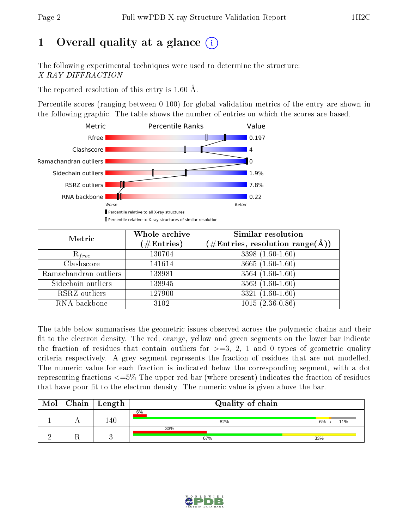# 1 [O](https://www.wwpdb.org/validation/2017/XrayValidationReportHelp#overall_quality)verall quality at a glance  $(i)$

The following experimental techniques were used to determine the structure: X-RAY DIFFRACTION

The reported resolution of this entry is 1.60 Å.

Percentile scores (ranging between 0-100) for global validation metrics of the entry are shown in the following graphic. The table shows the number of entries on which the scores are based.



| Metric                | Whole archive        | <b>Similar resolution</b>                                 |  |  |
|-----------------------|----------------------|-----------------------------------------------------------|--|--|
|                       | $(\#\text{Entries})$ | $(\#\text{Entries}, \text{resolution range}(\text{\AA}))$ |  |  |
| $R_{free}$            | 130704               | $3398(1.60-1.60)$                                         |  |  |
| Clashscore            | 141614               | $3665(1.60-1.60)$                                         |  |  |
| Ramachandran outliers | 138981               | $3564(1.60-1.60)$                                         |  |  |
| Sidechain outliers    | 138945               | $3563(1.60-1.60)$                                         |  |  |
| RSRZ outliers         | 127900               | $3321(1.60-1.60)$                                         |  |  |
| RNA backbone          | 3102                 | $1015(2.36-0.86)$                                         |  |  |

The table below summarises the geometric issues observed across the polymeric chains and their fit to the electron density. The red, orange, yellow and green segments on the lower bar indicate the fraction of residues that contain outliers for  $>=3, 2, 1$  and 0 types of geometric quality criteria respectively. A grey segment represents the fraction of residues that are not modelled. The numeric value for each fraction is indicated below the corresponding segment, with a dot representing fractions  $\epsilon = 5\%$  The upper red bar (where present) indicates the fraction of residues that have poor fit to the electron density. The numeric value is given above the bar.

| Mol | Chain   Length | Quality of chain |                |
|-----|----------------|------------------|----------------|
|     | .40            | 6%<br>82%        | $6\%$ .<br>11% |
|     |                | 33%<br>67%       | 33%            |

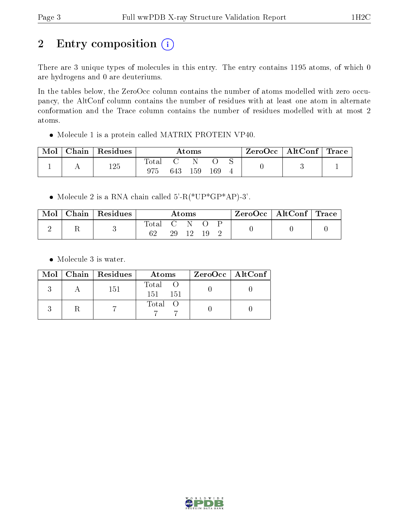# 2 Entry composition (i)

There are 3 unique types of molecules in this entry. The entry contains 1195 atoms, of which 0 are hydrogens and 0 are deuteriums.

In the tables below, the ZeroOcc column contains the number of atoms modelled with zero occupancy, the AltConf column contains the number of residues with at least one atom in alternate conformation and the Trace column contains the number of residues modelled with at most 2 atoms.

Molecule 1 is a protein called MATRIX PROTEIN VP40.

| Mol | $\cap$ hain $\mathord{\,\mid\,}$ | $\perp$ Residues | Atoms                         |     |     | ZeroOcc | $\perp$ AltConf $\parallel$ | $\operatorname{Trace}$ |  |  |
|-----|----------------------------------|------------------|-------------------------------|-----|-----|---------|-----------------------------|------------------------|--|--|
|     | л                                | 125              | $\operatorname{Total}$<br>975 | 643 | 159 | 169     |                             |                        |  |  |

 $\bullet$  Molecule 2 is a RNA chain called 5'-R(\*UP\*GP\*AP)-3'.

| Mol | Chain   Residues | Atoms       |                    |      | $\text{ZeroOcc} \mid \text{AltConf} \mid \text{Trace}$ |  |  |  |
|-----|------------------|-------------|--------------------|------|--------------------------------------------------------|--|--|--|
|     |                  | Total<br>62 | $\mathbf{C}$<br>29 | - 19 |                                                        |  |  |  |

Molecule 3 is water.

|  | $Mol$   Chain   Residues | Atoms                   | $ZeroOcc \   \ AltConf \  $ |
|--|--------------------------|-------------------------|-----------------------------|
|  | 151                      | Total<br>151 -<br>- 151 |                             |
|  |                          | Total O                 |                             |

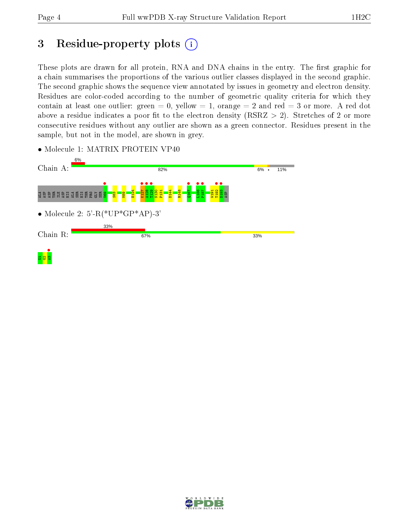# 3 Residue-property plots  $(i)$

These plots are drawn for all protein, RNA and DNA chains in the entry. The first graphic for a chain summarises the proportions of the various outlier classes displayed in the second graphic. The second graphic shows the sequence view annotated by issues in geometry and electron density. Residues are color-coded according to the number of geometric quality criteria for which they contain at least one outlier: green  $= 0$ , yellow  $= 1$ , orange  $= 2$  and red  $= 3$  or more. A red dot above a residue indicates a poor fit to the electron density (RSRZ  $> 2$ ). Stretches of 2 or more consecutive residues without any outlier are shown as a green connector. Residues present in the sample, but not in the model, are shown in grey.



• Molecule 1: MATRIX PROTEIN VP40

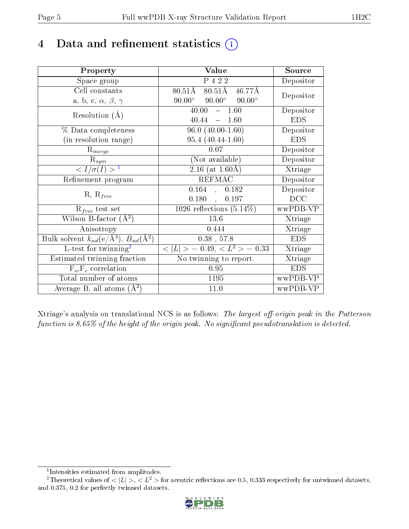# 4 Data and refinement statistics  $(i)$

| Property                                                         | Value                                                       | Source     |
|------------------------------------------------------------------|-------------------------------------------------------------|------------|
| Space group                                                      | P 4 2 2                                                     | Depositor  |
| Cell constants                                                   | $80.51\text{\AA}$<br>$46.77\text{\AA}$<br>$80.51\text{\AA}$ | Depositor  |
| a, b, c, $\alpha$ , $\beta$ , $\gamma$                           | $90.00^\circ$<br>$90.00^\circ$<br>$90.00^\circ$             |            |
| Resolution $(A)$                                                 | $-1.60$<br>40.00                                            | Depositor  |
|                                                                  | 40.44<br>1.60<br>$\equiv$                                   | <b>EDS</b> |
| % Data completeness                                              | $96.0(40.00-1.60)$                                          | Depositor  |
| (in resolution range)                                            | $95.4(40.44-1.60)$                                          | <b>EDS</b> |
| $R_{merge}$                                                      | 0.07                                                        | Depositor  |
| $\mathrm{R}_{sym}$                                               | (Not available)                                             | Depositor  |
| $\langle I/\sigma(I)\rangle^{-1}$                                | $2.16$ (at 1.60Å)                                           | Xtriage    |
| Refinement program                                               | <b>REFMAC</b>                                               | Depositor  |
| $R, R_{free}$                                                    | $0.164$ , $0.182$                                           | Depositor  |
|                                                                  | $0.180,$ ,<br>0.197                                         | DCC        |
| $R_{free}$ test set                                              | $1026$ reflections $(5.14\%)$                               | wwPDB-VP   |
| Wilson B-factor $(A^2)$                                          | 13.6                                                        | Xtriage    |
| Anisotropy                                                       | 0.444                                                       | Xtriage    |
| Bulk solvent $k_{sol}(\text{e}/\text{A}^3), B_{sol}(\text{A}^2)$ | $0.38$ , 57.8                                               | <b>EDS</b> |
| $L$ -test for twinning <sup>2</sup>                              | $< L >$ = 0.49, $< L2$ = 0.33                               | Xtriage    |
| Estimated twinning fraction                                      | No twinning to report.                                      | Xtriage    |
| $F_o, F_c$ correlation                                           | 0.95                                                        | <b>EDS</b> |
| Total number of atoms                                            | 1195                                                        | wwPDB-VP   |
| Average B, all atoms $(A^2)$                                     | 11.0                                                        | wwPDB-VP   |

Xtriage's analysis on translational NCS is as follows: The largest off-origin peak in the Patterson function is  $8.65\%$  of the height of the origin peak. No significant pseudotranslation is detected.

<sup>&</sup>lt;sup>2</sup>Theoretical values of  $\langle |L| \rangle$ ,  $\langle L^2 \rangle$  for acentric reflections are 0.5, 0.333 respectively for untwinned datasets, and 0.375, 0.2 for perfectly twinned datasets.



<span id="page-4-1"></span><span id="page-4-0"></span><sup>1</sup> Intensities estimated from amplitudes.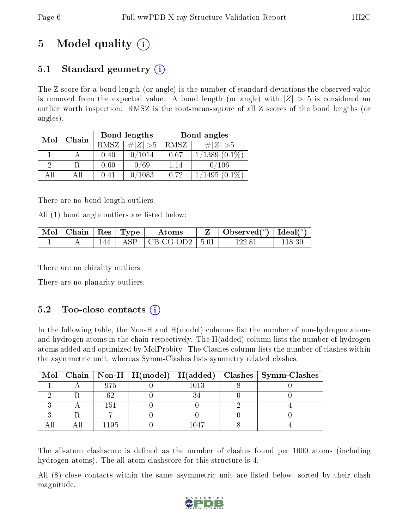# 5 Model quality  $(i)$

## 5.1 Standard geometry  $\overline{()}$

The Z score for a bond length (or angle) is the number of standard deviations the observed value is removed from the expected value. A bond length (or angle) with  $|Z| > 5$  is considered an outlier worth inspection. RMSZ is the root-mean-square of all Z scores of the bond lengths (or angles).

| Mol | Chain |      | Bond lengths | Bond angles |                    |  |
|-----|-------|------|--------------|-------------|--------------------|--|
|     |       | RMSZ | # $ Z  > 5$  | RMSZ        | # $ Z  > 5$        |  |
|     |       | 0.40 | 0/1014       | 0.67        | $1/1389$ $(0.1\%)$ |  |
| 9   | R     | 0.60 | 0/69         | 1.14        | 0/106              |  |
| ΑH  | Аll   | 0.41 | 0/1083       | 0.72        | $1495(0.1\%)$      |  |

There are no bond length outliers.

All (1) bond angle outliers are listed below:

| $\sqrt{\text{Mol}}$   Chain   Res   Type $^\top$ |         | Atoms                                      | Observed $(^\circ)$   Ideal $(^\circ)$ |        |
|--------------------------------------------------|---------|--------------------------------------------|----------------------------------------|--------|
|                                                  | $144 -$ | $\vert$ ASP $\vert$ CB-CG-OD2 $\vert$ 5.01 | 122.81                                 | 118.30 |

There are no chirality outliers.

There are no planarity outliers.

### 5.2 Too-close contacts  $(i)$

In the following table, the Non-H and H(model) columns list the number of non-hydrogen atoms and hydrogen atoms in the chain respectively. The H(added) column lists the number of hydrogen atoms added and optimized by MolProbity. The Clashes column lists the number of clashes within the asymmetric unit, whereas Symm-Clashes lists symmetry related clashes.

|  |     |      | Mol   Chain   Non-H   H(model)   H(added)   Clashes   Symm-Clashes |
|--|-----|------|--------------------------------------------------------------------|
|  | 975 | 1013 |                                                                    |
|  |     |      |                                                                    |
|  | 151 |      |                                                                    |
|  |     |      |                                                                    |
|  |     |      |                                                                    |

The all-atom clashscore is defined as the number of clashes found per 1000 atoms (including hydrogen atoms). The all-atom clashscore for this structure is 4.

All (8) close contacts within the same asymmetric unit are listed below, sorted by their clash magnitude.

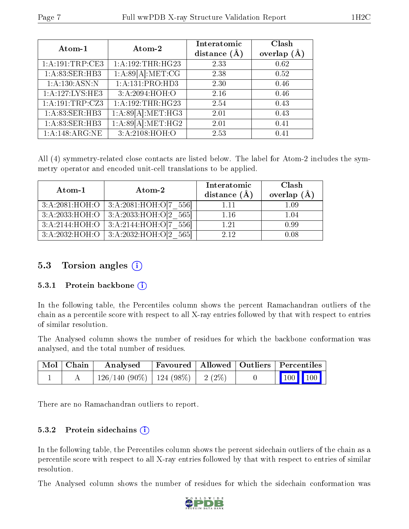| Atom-1          | Atom-2              | Interatomic<br>distance $(A)$ | Clash<br>overlap $(A)$ |
|-----------------|---------------------|-------------------------------|------------------------|
| 1:A:191:TRP:CE3 | 1:A:192:THR:HG23    | 2.33                          | 0.62                   |
| 1:A:83:SER:HB3  | 1:A:89[A]:MET:CG    | 2.38                          | 0.52                   |
| 1:A:130:ASN:N   | 1:A:131:PRO:HD3     | 2.30                          | 0.46                   |
| 1:A:127:LYS:HE3 | 3:A:2094:HOH:O      | 2.16                          | 0.46                   |
| 1:A:191:TRP:CZ3 | 1:A:192:THR:HG23    | 2.54                          | 0.43                   |
| 1:A:83:SER:HB3  | 1:A:89[A]:MET:HG3   | 2.01                          | 0.43                   |
| 1:A:83:SER:HB3  | 1: A:89[A]: MET:HG2 | 2.01                          | 0.41                   |
| 1:A:148:ARG:NE  | 3:A:2108:HOH:O      | 2.53                          | 0.41                   |

All (4) symmetry-related close contacts are listed below. The label for Atom-2 includes the symmetry operator and encoded unit-cell translations to be applied.

| Atom-1         | Atom-2                                     | Interatomic<br>distance $(\AA)$ | Clash<br>overlap $(\AA)$ |
|----------------|--------------------------------------------|---------------------------------|--------------------------|
|                | $3:A:2081:HOH:O$   $3:A:2081:HOH:O[7 556]$ | 1.11                            | 1.09                     |
|                | $3:A:2033:HOH:O$   $3:A:2033:HOH:O[2 565]$ | 1.16                            | 1.04                     |
| 3:A:2144:HOH:O | 3:A:2144:HOH:O[7 556]                      | 1 21                            | 0.99                     |
| 3:A:2032:HOH:O | $ 3: A:2032:HOH:0 2\rangle$<br>-5651       | 2.12                            | 0.08                     |

### 5.3 Torsion angles  $(i)$

#### 5.3.1 Protein backbone  $(i)$

In the following table, the Percentiles column shows the percent Ramachandran outliers of the chain as a percentile score with respect to all X-ray entries followed by that with respect to entries of similar resolution.

The Analysed column shows the number of residues for which the backbone conformation was analysed, and the total number of residues.

| Mol   Chain | Analysed                                | Favoured   Allowed   Outliers   Percentiles |  |                                                |  |
|-------------|-----------------------------------------|---------------------------------------------|--|------------------------------------------------|--|
|             | $126/140$ (90\%)   124 (98\%)   2 (2\%) |                                             |  | $\begin{bmatrix} 100 \\ 100 \end{bmatrix}$ 100 |  |

There are no Ramachandran outliers to report.

#### 5.3.2 Protein sidechains (i)

In the following table, the Percentiles column shows the percent sidechain outliers of the chain as a percentile score with respect to all X-ray entries followed by that with respect to entries of similar resolution.

The Analysed column shows the number of residues for which the sidechain conformation was

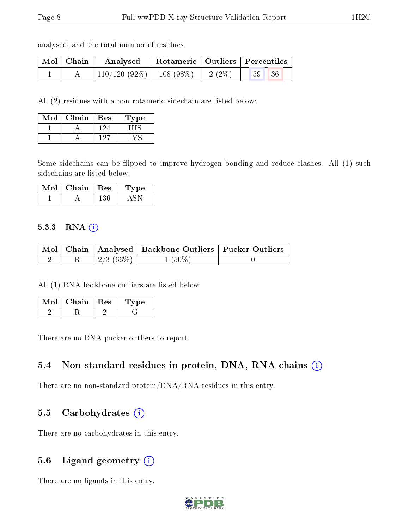analysed, and the total number of residues.

| Mol   Chain | Analysed   Rotameric   Outliers   Percentiles              |  |       |
|-------------|------------------------------------------------------------|--|-------|
|             | $\mid$ 110/120 (92%) $\mid$ 108 (98%) $\mid$ 2 (2%) $\mid$ |  | 59 36 |

All (2) residues with a non-rotameric sidechain are listed below:

| Mol | ${\rm Chain}$ | <b>Res</b> | Type |
|-----|---------------|------------|------|
|     |               |            |      |
|     |               | - 17       |      |

Some sidechains can be flipped to improve hydrogen bonding and reduce clashes. All (1) such sidechains are listed below:

| Mol | Chain | $\pm$ Res | ype |
|-----|-------|-----------|-----|
|     |       |           |     |

#### 5.3.3 RNA (1)

|  |                     | Mol   Chain   Analysed   Backbone Outliers   Pucker Outliers |  |
|--|---------------------|--------------------------------------------------------------|--|
|  | $^+$ 2/3 (66%) $^+$ | $1(50\%)$                                                    |  |

All (1) RNA backbone outliers are listed below:

| $Mol$   Chain   Res | 'Type |
|---------------------|-------|
|                     |       |

There are no RNA pucker outliers to report.

#### 5.4 Non-standard residues in protein, DNA, RNA chains (i)

There are no non-standard protein/DNA/RNA residues in this entry.

#### 5.5 Carbohydrates (i)

There are no carbohydrates in this entry.

### 5.6 Ligand geometry (i)

There are no ligands in this entry.

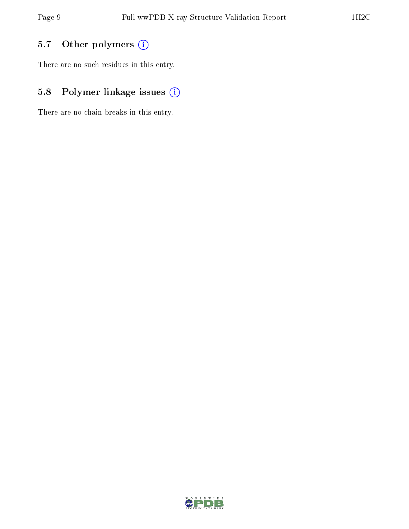## 5.7 [O](https://www.wwpdb.org/validation/2017/XrayValidationReportHelp#nonstandard_residues_and_ligands)ther polymers (i)

There are no such residues in this entry.

## 5.8 Polymer linkage issues (i)

There are no chain breaks in this entry.

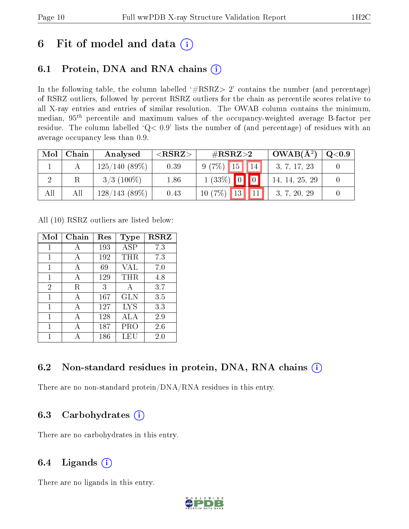## 6 Fit of model and data  $(i)$

## 6.1 Protein, DNA and RNA chains  $(i)$

In the following table, the column labelled  $#RSRZ> 2'$  contains the number (and percentage) of RSRZ outliers, followed by percent RSRZ outliers for the chain as percentile scores relative to all X-ray entries and entries of similar resolution. The OWAB column contains the minimum, median,  $95<sup>th</sup>$  percentile and maximum values of the occupancy-weighted average B-factor per residue. The column labelled ' $Q< 0.9$ ' lists the number of (and percentage) of residues with an average occupancy less than 0.9.

| Mol | Chain | Analysed        | ${ <\hspace{-1.5pt}{\mathrm{RSRZ}} \hspace{-1.5pt}>}$ | $\rm \#RSRZ{>}2$                | $OWAB(A^2)$    | $\rm Q\textcolor{black}{<}0.9$ |
|-----|-------|-----------------|-------------------------------------------------------|---------------------------------|----------------|--------------------------------|
|     |       | $125/140(89\%)$ | 0.39                                                  | $9(7\%)$ 15<br>14 <sup>°</sup>  | 3, 7, 17, 23   |                                |
|     |       | $3/3$ (100\%)   | 1.86                                                  | $1(33\%)$ 0 0                   | 14, 14, 25, 29 |                                |
|     | All   | 128/143(89%)    | 0.43                                                  | $10(7\%)$<br>$\vert$ 13 $\vert$ | 3, 7, 20, 29   |                                |

All (10) RSRZ outliers are listed below:

| Mol            | Chain | $\operatorname{Res}% \left( \mathcal{N}\right) \equiv\operatorname{Res}(\mathcal{N}_{0})\cap\mathcal{N}_{1}$ | Type       | <b>RSRZ</b> |
|----------------|-------|--------------------------------------------------------------------------------------------------------------|------------|-------------|
| $\mathbf{1}$   | A     | 193                                                                                                          | ASP        | 7.3         |
| 1              | А     | 192                                                                                                          | THR        | 7.3         |
| 1              | A     | 69                                                                                                           | <b>VAL</b> | 7.0         |
| 1              | А     | 129                                                                                                          | THR        | 4.8         |
| $\overline{2}$ | R.    | 3                                                                                                            | A          | 3.7         |
| 1              | А     | $167\,$                                                                                                      | GLN        | 3.5         |
| 1              | A     | 127                                                                                                          | <b>LYS</b> | 3.3         |
| 1              | А     | 128                                                                                                          | ALA        | 2.9         |
| 1              | А     | 187                                                                                                          | PRO        | $2.6\,$     |
| 1              |       | 186                                                                                                          | LEU        | 2.0         |

### 6.2 Non-standard residues in protein, DNA, RNA chains  $(i)$

There are no non-standard protein/DNA/RNA residues in this entry.

### 6.3 Carbohydrates  $(i)$

There are no carbohydrates in this entry.

### 6.4 Ligands  $(i)$

There are no ligands in this entry.